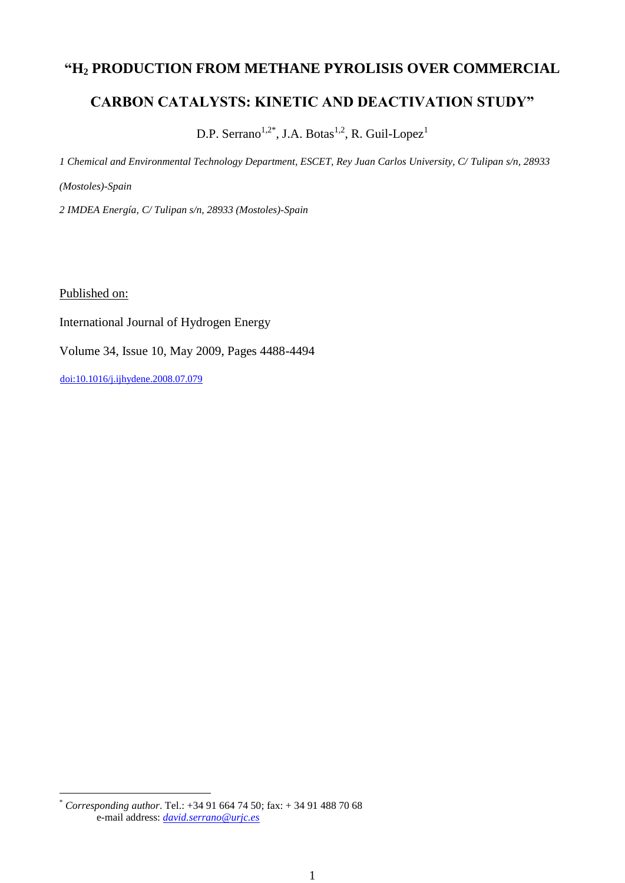# **"H<sup>2</sup> PRODUCTION FROM METHANE PYROLISIS OVER COMMERCIAL**

# **CARBON CATALYSTS: KINETIC AND DEACTIVATION STUDY"**

D.P. Serrano<sup>1,2\*</sup>, J.A. Botas<sup>1,2</sup>, R. Guil-Lopez<sup>1</sup>

*1 Chemical and Environmental Technology Department, ESCET, Rey Juan Carlos University, C/ Tulipan s/n, 28933* 

*(Mostoles)-Spain*

*2 IMDEA Energía, C/ Tulipan s/n, 28933 (Mostoles)-Spain*

Published on:

1

International Journal of Hydrogen Energy

Volume 34, Issue 10, May 2009, Pages 4488-4494

[doi:10.1016/j.ijhydene.2008.07.079](http://dx.doi.org/10.1016/j.ijhydene.2008.07.079)

<sup>\*</sup> *Corresponding author*. Tel.: +34 91 664 74 50; fax: + 34 91 488 70 68 e-mail address: *[david.serrano@urjc.es](mailto:david.serrano@urjc.es)*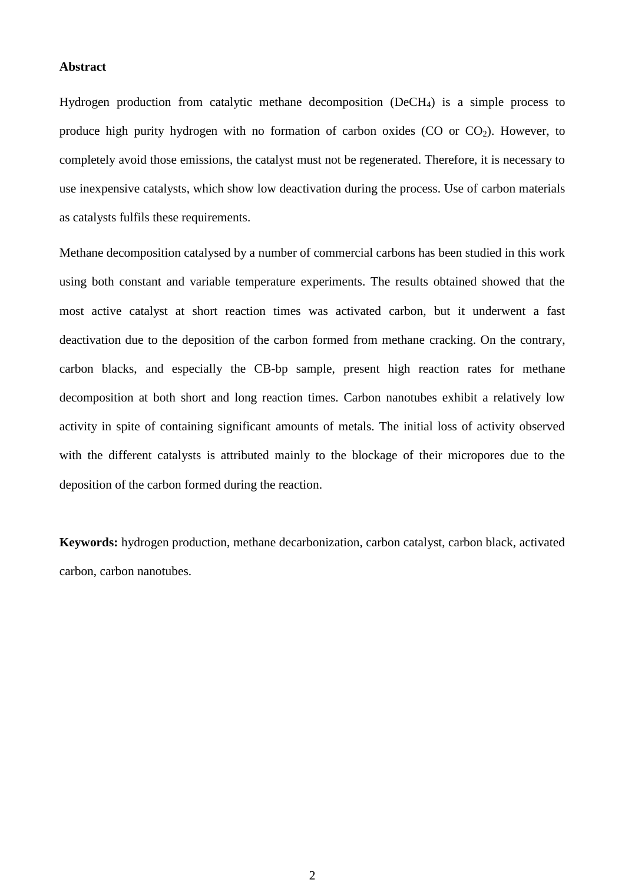#### **Abstract**

Hydrogen production from catalytic methane decomposition (DeCH4) is a simple process to produce high purity hydrogen with no formation of carbon oxides (CO or  $CO<sub>2</sub>$ ). However, to completely avoid those emissions, the catalyst must not be regenerated. Therefore, it is necessary to use inexpensive catalysts, which show low deactivation during the process. Use of carbon materials as catalysts fulfils these requirements.

Methane decomposition catalysed by a number of commercial carbons has been studied in this work using both constant and variable temperature experiments. The results obtained showed that the most active catalyst at short reaction times was activated carbon, but it underwent a fast deactivation due to the deposition of the carbon formed from methane cracking. On the contrary, carbon blacks, and especially the CB-bp sample, present high reaction rates for methane decomposition at both short and long reaction times. Carbon nanotubes exhibit a relatively low activity in spite of containing significant amounts of metals. The initial loss of activity observed with the different catalysts is attributed mainly to the blockage of their micropores due to the deposition of the carbon formed during the reaction.

**Keywords:** hydrogen production, methane decarbonization, carbon catalyst, carbon black, activated carbon, carbon nanotubes.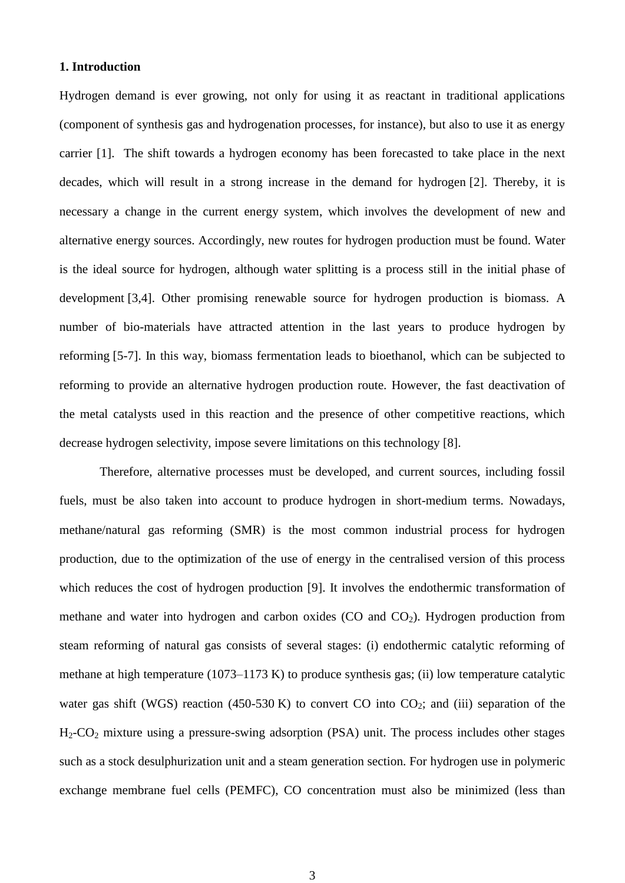# **1. Introduction**

Hydrogen demand is ever growing, not only for using it as reactant in traditional applications (component of synthesis gas and hydrogenation processes, for instance), but also to use it as energy carrier [1]. The shift towards a hydrogen economy has been forecasted to take place in the next decades, which will result in a strong increase in the demand for hydrogen [2]. Thereby, it is necessary a change in the current energy system, which involves the development of new and alternative energy sources. Accordingly, new routes for hydrogen production must be found. Water is the ideal source for hydrogen, although water splitting is a process still in the initial phase of development [3,4]. Other promising renewable source for hydrogen production is biomass. A number of bio-materials have attracted attention in the last years to produce hydrogen by reforming [5-7]. In this way, biomass fermentation leads to bioethanol, which can be subjected to reforming to provide an alternative hydrogen production route. However, the fast deactivation of the metal catalysts used in this reaction and the presence of other competitive reactions, which decrease hydrogen selectivity, impose severe limitations on this technology [8].

Therefore, alternative processes must be developed, and current sources, including fossil fuels, must be also taken into account to produce hydrogen in short-medium terms. Nowadays, methane/natural gas reforming (SMR) is the most common industrial process for hydrogen production, due to the optimization of the use of energy in the centralised version of this process which reduces the cost of hydrogen production [9]. It involves the endothermic transformation of methane and water into hydrogen and carbon oxides  $(CO)$  and  $CO<sub>2</sub>$ ). Hydrogen production from steam reforming of natural gas consists of several stages: (i) endothermic catalytic reforming of methane at high temperature (1073–1173 K) to produce synthesis gas; (ii) low temperature catalytic water gas shift (WGS) reaction (450-530 K) to convert CO into  $CO_2$ ; and (iii) separation of the  $H_2$ -CO<sub>2</sub> mixture using a pressure-swing adsorption (PSA) unit. The process includes other stages such as a stock desulphurization unit and a steam generation section. For hydrogen use in polymeric exchange membrane fuel cells (PEMFC), CO concentration must also be minimized (less than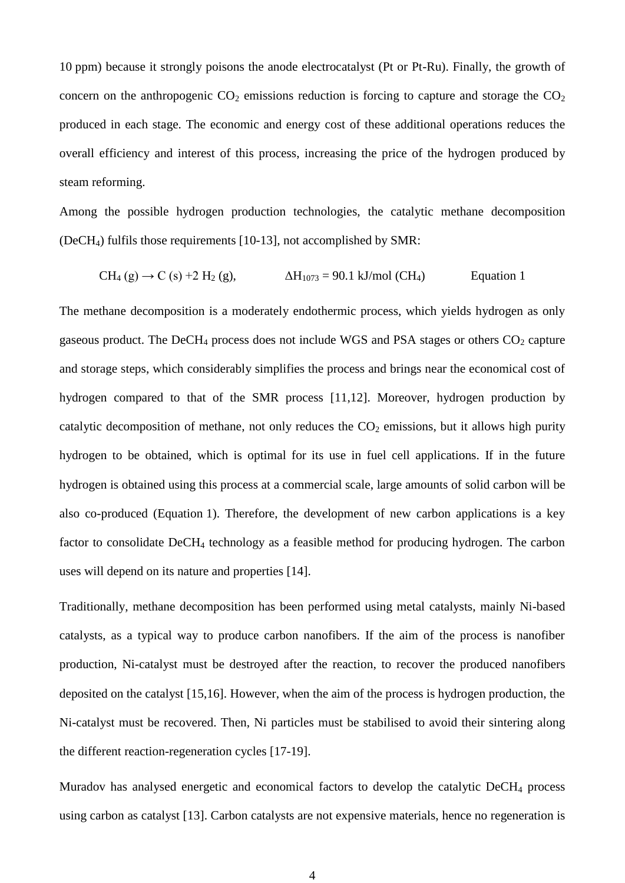10 ppm) because it strongly poisons the anode electrocatalyst (Pt or Pt-Ru). Finally, the growth of concern on the anthropogenic  $CO_2$  emissions reduction is forcing to capture and storage the  $CO_2$ produced in each stage. The economic and energy cost of these additional operations reduces the overall efficiency and interest of this process, increasing the price of the hydrogen produced by steam reforming.

Among the possible hydrogen production technologies, the catalytic methane decomposition (DeCH4) fulfils those requirements [10-13], not accomplished by SMR:

$$
CH_4(g) \to C(s) + 2 H_2(g),
$$
  $\Delta H_{1073} = 90.1 \text{ kJ/mol (CH}_4)$  Equation 1

The methane decomposition is a moderately endothermic process, which yields hydrogen as only gaseous product. The DeCH<sub>4</sub> process does not include WGS and PSA stages or others  $CO<sub>2</sub>$  capture and storage steps, which considerably simplifies the process and brings near the economical cost of hydrogen compared to that of the SMR process [11,12]. Moreover, hydrogen production by catalytic decomposition of methane, not only reduces the  $CO<sub>2</sub>$  emissions, but it allows high purity hydrogen to be obtained, which is optimal for its use in fuel cell applications. If in the future hydrogen is obtained using this process at a commercial scale, large amounts of solid carbon will be also co-produced (Equation 1). Therefore, the development of new carbon applications is a key factor to consolidate DeCH<sub>4</sub> technology as a feasible method for producing hydrogen. The carbon uses will depend on its nature and properties [14].

Traditionally, methane decomposition has been performed using metal catalysts, mainly Ni-based catalysts, as a typical way to produce carbon nanofibers. If the aim of the process is nanofiber production, Ni-catalyst must be destroyed after the reaction, to recover the produced nanofibers deposited on the catalyst [15,16]. However, when the aim of the process is hydrogen production, the Ni-catalyst must be recovered. Then, Ni particles must be stabilised to avoid their sintering along the different reaction-regeneration cycles [17-19].

Muradov has analysed energetic and economical factors to develop the catalytic DeCH<sub>4</sub> process using carbon as catalyst [13]. Carbon catalysts are not expensive materials, hence no regeneration is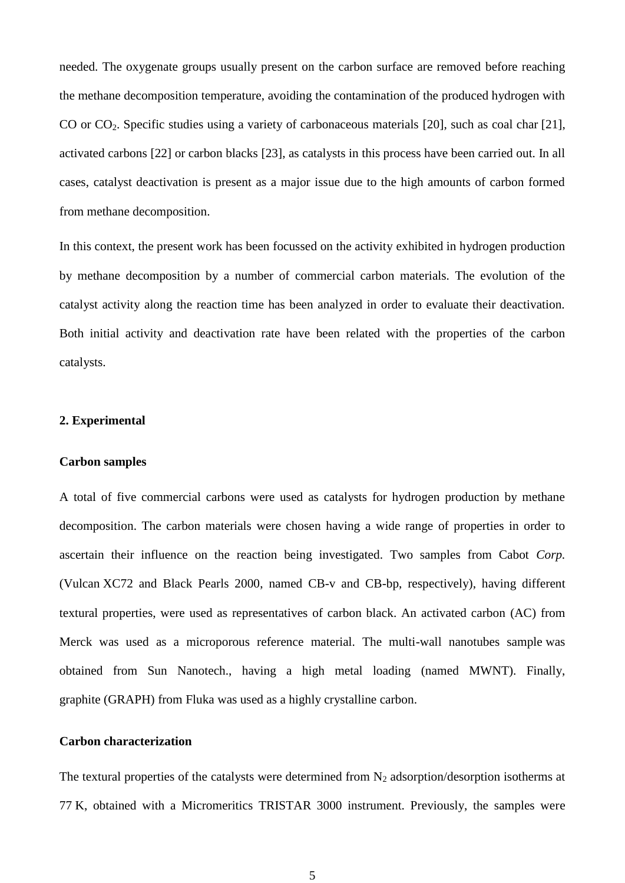needed. The oxygenate groups usually present on the carbon surface are removed before reaching the methane decomposition temperature, avoiding the contamination of the produced hydrogen with CO or CO<sub>2</sub>. Specific studies using a variety of carbonaceous materials [20], such as coal char [21], activated carbons [22] or carbon blacks [23], as catalysts in this process have been carried out. In all cases, catalyst deactivation is present as a major issue due to the high amounts of carbon formed from methane decomposition.

In this context, the present work has been focussed on the activity exhibited in hydrogen production by methane decomposition by a number of commercial carbon materials. The evolution of the catalyst activity along the reaction time has been analyzed in order to evaluate their deactivation. Both initial activity and deactivation rate have been related with the properties of the carbon catalysts.

#### **2. Experimental**

#### **Carbon samples**

A total of five commercial carbons were used as catalysts for hydrogen production by methane decomposition. The carbon materials were chosen having a wide range of properties in order to ascertain their influence on the reaction being investigated. Two samples from Cabot *Corp.* (Vulcan XC72 and Black Pearls 2000, named CB-v and CB-bp, respectively), having different textural properties, were used as representatives of carbon black. An activated carbon (AC) from Merck was used as a microporous reference material. The multi-wall nanotubes sample was obtained from Sun Nanotech., having a high metal loading (named MWNT). Finally, graphite (GRAPH) from Fluka was used as a highly crystalline carbon.

# **Carbon characterization**

The textural properties of the catalysts were determined from  $N_2$  adsorption/desorption isotherms at 77 K, obtained with a Micromeritics TRISTAR 3000 instrument. Previously, the samples were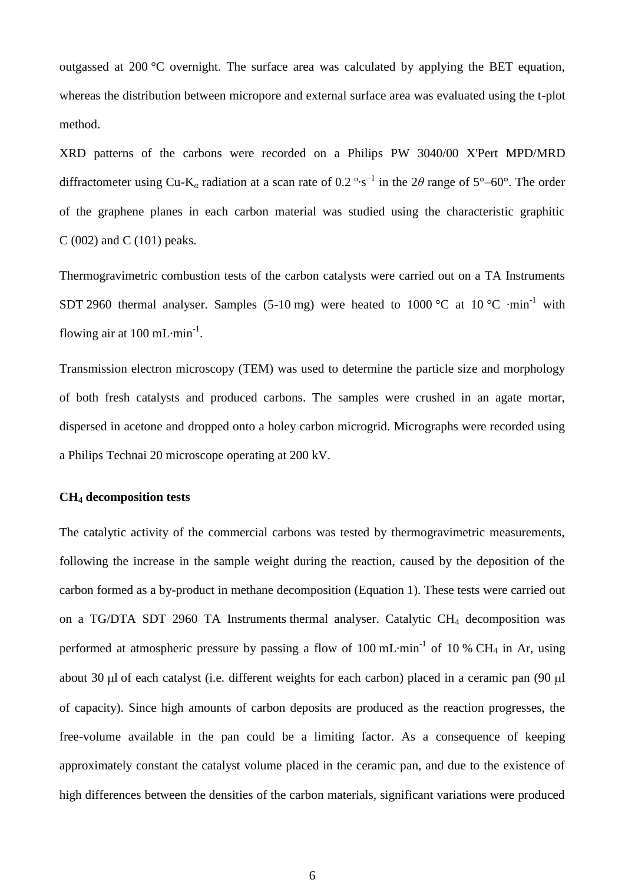outgassed at 200 °C overnight. The surface area was calculated by applying the BET equation, whereas the distribution between micropore and external surface area was evaluated using the t-plot method.

XRD patterns of the carbons were recorded on a Philips PW 3040/00 X'Pert MPD/MRD diffractometer using Cu-K*<sup>α</sup>* radiation at a scan rate of 0.2 º·s−1 in the 2*θ* range of 5°–60°. The order of the graphene planes in each carbon material was studied using the characteristic graphitic C (002) and C (101) peaks.

Thermogravimetric combustion tests of the carbon catalysts were carried out on a TA Instruments SDT 2960 thermal analyser. Samples (5-10 mg) were heated to 1000 °C at 10 °C  $\cdot$ min<sup>-1</sup> with flowing air at  $100 \text{ mL-min}^{-1}$ .

Transmission electron microscopy (TEM) was used to determine the particle size and morphology of both fresh catalysts and produced carbons. The samples were crushed in an agate mortar, dispersed in acetone and dropped onto a holey carbon microgrid. Micrographs were recorded using a Philips Technai 20 microscope operating at 200 kV.

#### **CH<sup>4</sup> decomposition tests**

The catalytic activity of the commercial carbons was tested by thermogravimetric measurements, following the increase in the sample weight during the reaction, caused by the deposition of the carbon formed as a by-product in methane decomposition (Equation 1). These tests were carried out on a TG/DTA SDT 2960 TA Instruments thermal analyser. Catalytic  $CH<sub>4</sub>$  decomposition was performed at atmospheric pressure by passing a flow of 100 mL $\cdot$ min<sup>-1</sup> of 10 % CH<sub>4</sub> in Ar, using about 30  $\mu$ l of each catalyst (i.e. different weights for each carbon) placed in a ceramic pan (90  $\mu$ l of capacity). Since high amounts of carbon deposits are produced as the reaction progresses, the free-volume available in the pan could be a limiting factor. As a consequence of keeping approximately constant the catalyst volume placed in the ceramic pan, and due to the existence of high differences between the densities of the carbon materials, significant variations were produced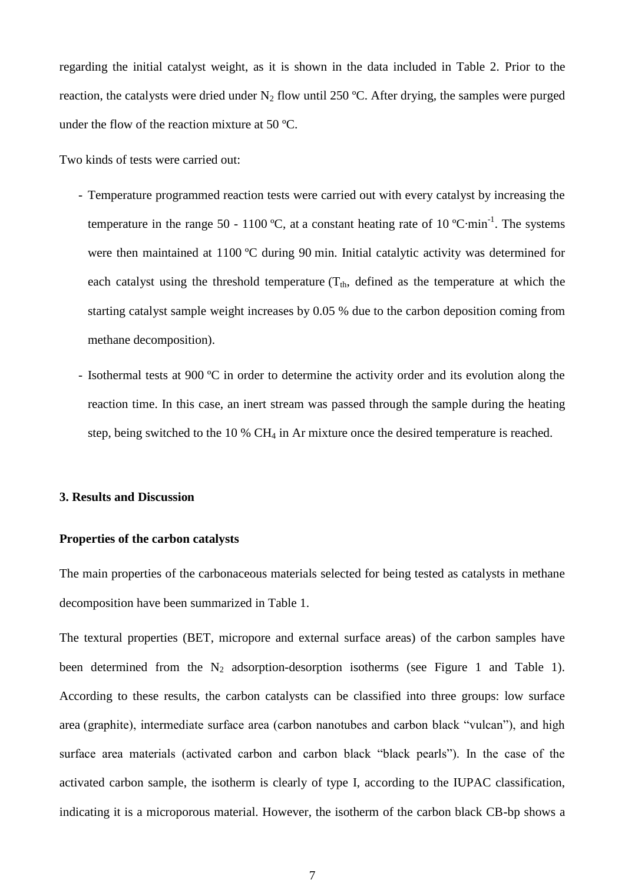regarding the initial catalyst weight, as it is shown in the data included in Table 2. Prior to the reaction, the catalysts were dried under  $N_2$  flow until 250 °C. After drying, the samples were purged under the flow of the reaction mixture at 50 ºC.

Two kinds of tests were carried out:

- Temperature programmed reaction tests were carried out with every catalyst by increasing the temperature in the range 50 - 1100 °C, at a constant heating rate of 10 °C $\cdot$ min<sup>-1</sup>. The systems were then maintained at 1100 ºC during 90 min. Initial catalytic activity was determined for each catalyst using the threshold temperature  $(T_{th}$ , defined as the temperature at which the starting catalyst sample weight increases by 0.05 % due to the carbon deposition coming from methane decomposition).
- Isothermal tests at 900 ºC in order to determine the activity order and its evolution along the reaction time. In this case, an inert stream was passed through the sample during the heating step, being switched to the 10 %  $CH_4$  in Ar mixture once the desired temperature is reached.

#### **3. Results and Discussion**

#### **Properties of the carbon catalysts**

The main properties of the carbonaceous materials selected for being tested as catalysts in methane decomposition have been summarized in Table 1.

The textural properties (BET, micropore and external surface areas) of the carbon samples have been determined from the  $N_2$  adsorption-desorption isotherms (see Figure 1 and Table 1). According to these results, the carbon catalysts can be classified into three groups: low surface area (graphite), intermediate surface area (carbon nanotubes and carbon black "vulcan"), and high surface area materials (activated carbon and carbon black "black pearls"). In the case of the activated carbon sample, the isotherm is clearly of type I, according to the IUPAC classification, indicating it is a microporous material. However, the isotherm of the carbon black CB-bp shows a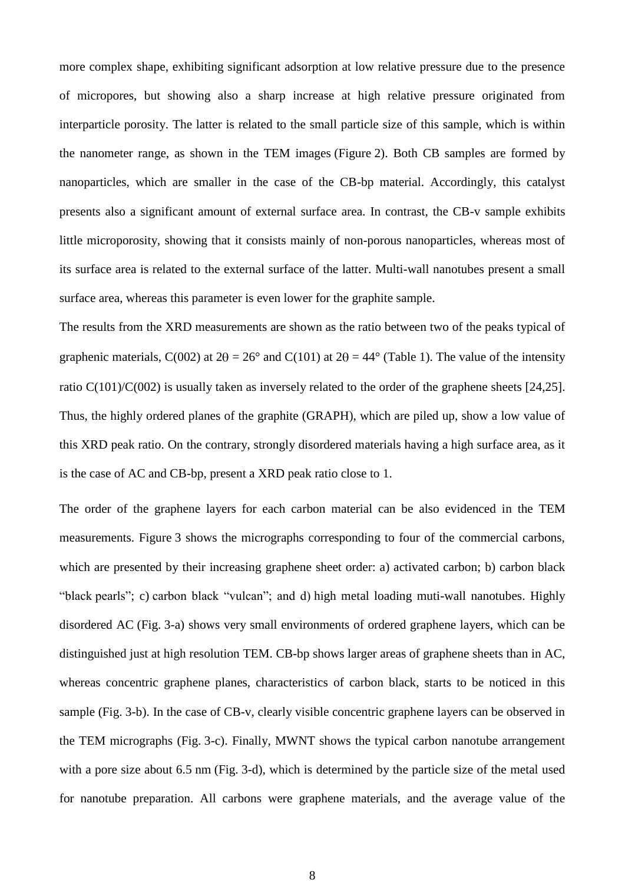more complex shape, exhibiting significant adsorption at low relative pressure due to the presence of micropores, but showing also a sharp increase at high relative pressure originated from interparticle porosity. The latter is related to the small particle size of this sample, which is within the nanometer range, as shown in the TEM images (Figure 2). Both CB samples are formed by nanoparticles, which are smaller in the case of the CB-bp material. Accordingly, this catalyst presents also a significant amount of external surface area. In contrast, the CB-v sample exhibits little microporosity, showing that it consists mainly of non-porous nanoparticles, whereas most of its surface area is related to the external surface of the latter. Multi-wall nanotubes present a small surface area, whereas this parameter is even lower for the graphite sample.

The results from the XRD measurements are shown as the ratio between two of the peaks typical of graphenic materials, C(002) at  $2\theta = 26^\circ$  and C(101) at  $2\theta = 44^\circ$  (Table 1). The value of the intensity ratio C(101)/C(002) is usually taken as inversely related to the order of the graphene sheets [24,25]. Thus, the highly ordered planes of the graphite (GRAPH), which are piled up, show a low value of this XRD peak ratio. On the contrary, strongly disordered materials having a high surface area, as it is the case of AC and CB-bp, present a XRD peak ratio close to 1.

The order of the graphene layers for each carbon material can be also evidenced in the TEM measurements. Figure 3 shows the micrographs corresponding to four of the commercial carbons, which are presented by their increasing graphene sheet order: a) activated carbon; b) carbon black "black pearls"; c) carbon black "vulcan"; and d) high metal loading muti-wall nanotubes. Highly disordered AC (Fig. 3-a) shows very small environments of ordered graphene layers, which can be distinguished just at high resolution TEM. CB-bp shows larger areas of graphene sheets than in AC, whereas concentric graphene planes, characteristics of carbon black, starts to be noticed in this sample (Fig. 3-b). In the case of CB-v, clearly visible concentric graphene layers can be observed in the TEM micrographs (Fig. 3-c). Finally, MWNT shows the typical carbon nanotube arrangement with a pore size about 6.5 nm (Fig. 3-d), which is determined by the particle size of the metal used for nanotube preparation. All carbons were graphene materials, and the average value of the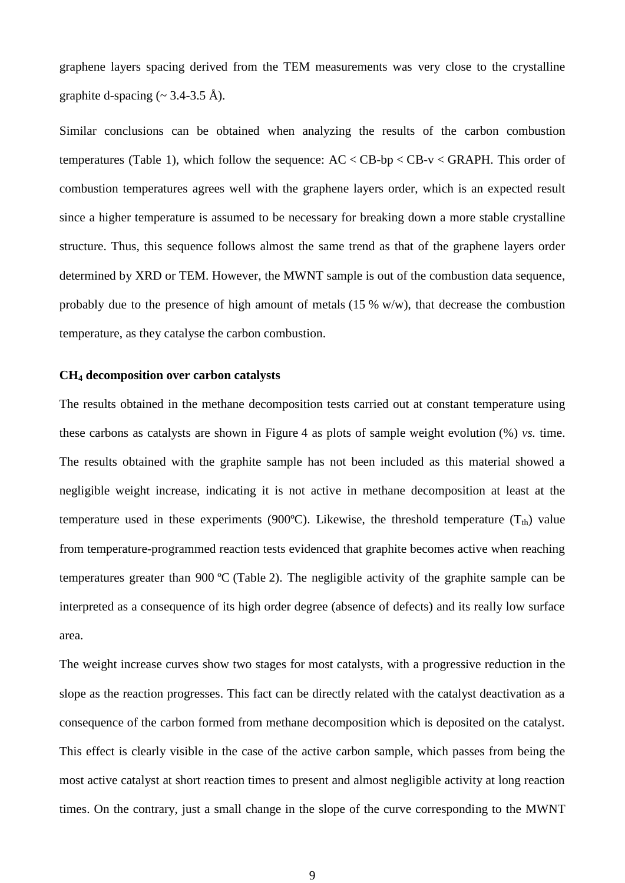graphene layers spacing derived from the TEM measurements was very close to the crystalline graphite d-spacing  $(\sim 3.4 - 3.5 \text{ Å})$ .

Similar conclusions can be obtained when analyzing the results of the carbon combustion temperatures (Table 1), which follow the sequence:  $AC < CB$ -bp $< CB$ -v $<$ GRAPH. This order of combustion temperatures agrees well with the graphene layers order, which is an expected result since a higher temperature is assumed to be necessary for breaking down a more stable crystalline structure. Thus, this sequence follows almost the same trend as that of the graphene layers order determined by XRD or TEM. However, the MWNT sample is out of the combustion data sequence, probably due to the presence of high amount of metals  $(15\% \text{ w/w})$ , that decrease the combustion temperature, as they catalyse the carbon combustion.

#### **CH<sup>4</sup> decomposition over carbon catalysts**

The results obtained in the methane decomposition tests carried out at constant temperature using these carbons as catalysts are shown in Figure 4 as plots of sample weight evolution (%) *vs.* time. The results obtained with the graphite sample has not been included as this material showed a negligible weight increase, indicating it is not active in methane decomposition at least at the temperature used in these experiments (900 $^{\circ}$ C). Likewise, the threshold temperature (T<sub>th</sub>) value from temperature-programmed reaction tests evidenced that graphite becomes active when reaching temperatures greater than 900 ºC (Table 2). The negligible activity of the graphite sample can be interpreted as a consequence of its high order degree (absence of defects) and its really low surface area.

The weight increase curves show two stages for most catalysts, with a progressive reduction in the slope as the reaction progresses. This fact can be directly related with the catalyst deactivation as a consequence of the carbon formed from methane decomposition which is deposited on the catalyst. This effect is clearly visible in the case of the active carbon sample, which passes from being the most active catalyst at short reaction times to present and almost negligible activity at long reaction times. On the contrary, just a small change in the slope of the curve corresponding to the MWNT

9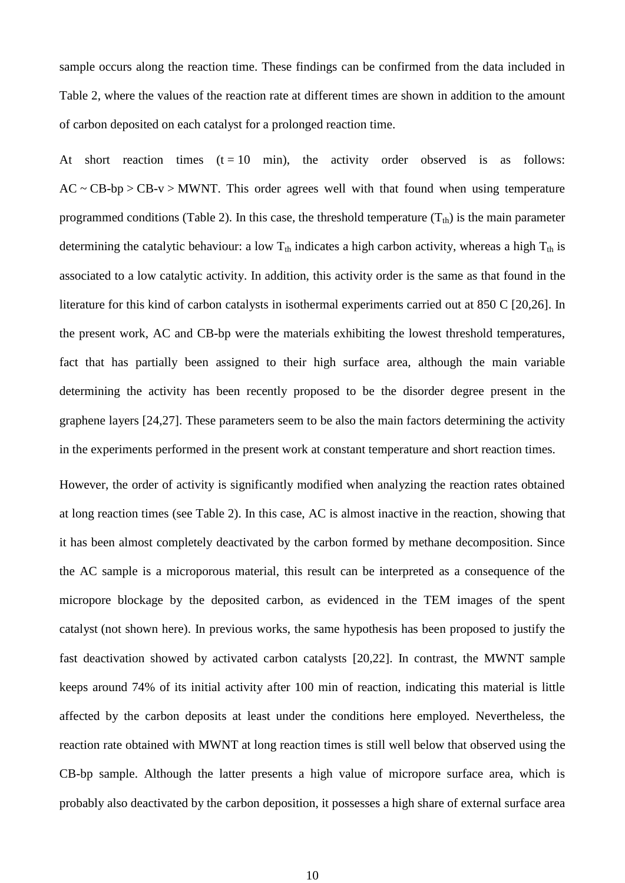sample occurs along the reaction time. These findings can be confirmed from the data included in Table 2, where the values of the reaction rate at different times are shown in addition to the amount of carbon deposited on each catalyst for a prolonged reaction time.

At short reaction times  $(t = 10 \text{ min})$ , the activity order observed is as follows:  $AC \sim CB$ -bp  $> CB$ -v  $> MWNT$ . This order agrees well with that found when using temperature programmed conditions (Table 2). In this case, the threshold temperature  $(T<sub>th</sub>)$  is the main parameter determining the catalytic behaviour: a low  $T_{th}$  indicates a high carbon activity, whereas a high  $T_{th}$  is associated to a low catalytic activity. In addition, this activity order is the same as that found in the literature for this kind of carbon catalysts in isothermal experiments carried out at 850 C [20,26]. In the present work, AC and CB-bp were the materials exhibiting the lowest threshold temperatures, fact that has partially been assigned to their high surface area, although the main variable determining the activity has been recently proposed to be the disorder degree present in the graphene layers [24,27]. These parameters seem to be also the main factors determining the activity in the experiments performed in the present work at constant temperature and short reaction times.

However, the order of activity is significantly modified when analyzing the reaction rates obtained at long reaction times (see Table 2). In this case, AC is almost inactive in the reaction, showing that it has been almost completely deactivated by the carbon formed by methane decomposition. Since the AC sample is a microporous material, this result can be interpreted as a consequence of the micropore blockage by the deposited carbon, as evidenced in the TEM images of the spent catalyst (not shown here). In previous works, the same hypothesis has been proposed to justify the fast deactivation showed by activated carbon catalysts [20,22]. In contrast, the MWNT sample keeps around 74% of its initial activity after 100 min of reaction, indicating this material is little affected by the carbon deposits at least under the conditions here employed. Nevertheless, the reaction rate obtained with MWNT at long reaction times is still well below that observed using the CB-bp sample. Although the latter presents a high value of micropore surface area, which is probably also deactivated by the carbon deposition, it possesses a high share of external surface area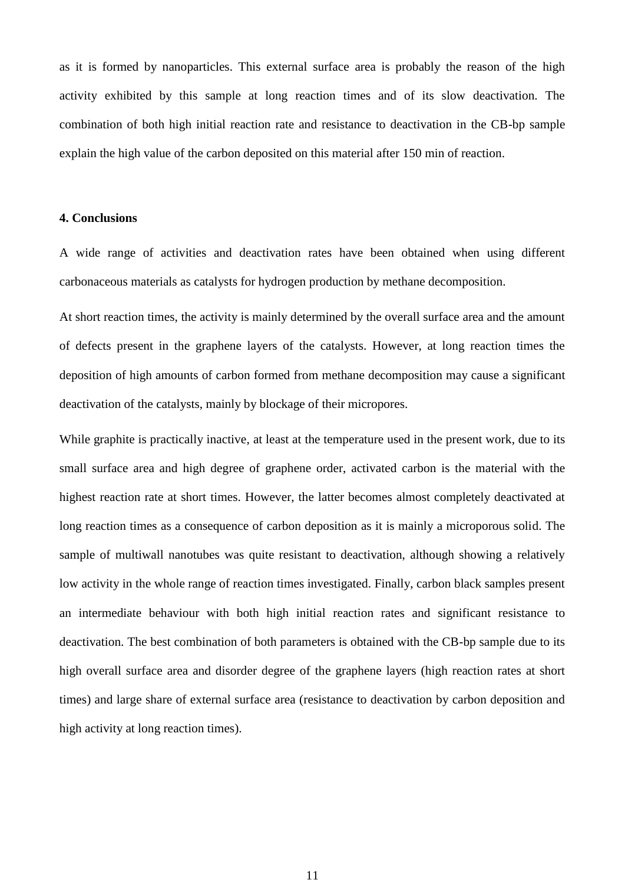as it is formed by nanoparticles. This external surface area is probably the reason of the high activity exhibited by this sample at long reaction times and of its slow deactivation. The combination of both high initial reaction rate and resistance to deactivation in the CB-bp sample explain the high value of the carbon deposited on this material after 150 min of reaction.

## **4. Conclusions**

A wide range of activities and deactivation rates have been obtained when using different carbonaceous materials as catalysts for hydrogen production by methane decomposition.

At short reaction times, the activity is mainly determined by the overall surface area and the amount of defects present in the graphene layers of the catalysts. However, at long reaction times the deposition of high amounts of carbon formed from methane decomposition may cause a significant deactivation of the catalysts, mainly by blockage of their micropores.

While graphite is practically inactive, at least at the temperature used in the present work, due to its small surface area and high degree of graphene order, activated carbon is the material with the highest reaction rate at short times. However, the latter becomes almost completely deactivated at long reaction times as a consequence of carbon deposition as it is mainly a microporous solid. The sample of multiwall nanotubes was quite resistant to deactivation, although showing a relatively low activity in the whole range of reaction times investigated. Finally, carbon black samples present an intermediate behaviour with both high initial reaction rates and significant resistance to deactivation. The best combination of both parameters is obtained with the CB-bp sample due to its high overall surface area and disorder degree of the graphene layers (high reaction rates at short times) and large share of external surface area (resistance to deactivation by carbon deposition and high activity at long reaction times).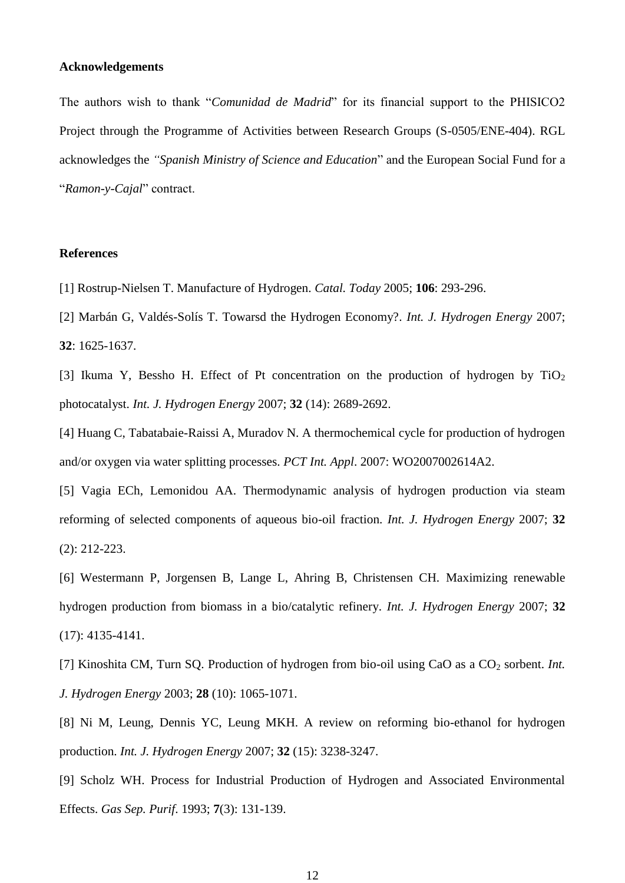## **Acknowledgements**

The authors wish to thank "*Comunidad de Madrid*" for its financial support to the PHISICO2 Project through the Programme of Activities between Research Groups (S-0505/ENE-404). RGL acknowledges the *"Spanish Ministry of Science and Education*" and the European Social Fund for a "*Ramon-y-Cajal*" contract.

#### **References**

[1] Rostrup-Nielsen T. Manufacture of Hydrogen. *Catal. Today* 2005; **106**: 293-296.

[2] Marbán G, Valdés-Solís T. Towarsd the Hydrogen Economy?. *Int. J. Hydrogen Energy* 2007; **32**: 1625-1637.

[3] Ikuma Y, Bessho H. Effect of Pt concentration on the production of hydrogen by  $TiO<sub>2</sub>$ photocatalyst. *Int. J. Hydrogen Energy* 2007; **32** (14): 2689-2692.

[4] Huang C, Tabatabaie-Raissi A, Muradov N. A thermochemical cycle for production of hydrogen and/or oxygen via water splitting processes. *PCT Int. Appl*. 2007: WO2007002614A2.

[5] Vagia ECh, Lemonidou AA. Thermodynamic analysis of hydrogen production via steam reforming of selected components of aqueous bio-oil fraction. *Int. J. Hydrogen Energy* 2007; **32**  (2): 212-223.

[6] Westermann P, Jorgensen B, Lange L, Ahring B, Christensen CH. Maximizing renewable hydrogen production from biomass in a bio/catalytic refinery. *Int. J. Hydrogen Energy* 2007; **32**  (17): 4135-4141.

[7] Kinoshita CM, Turn SQ. Production of hydrogen from bio-oil using CaO as a CO<sub>2</sub> sorbent. *Int*. *J. Hydrogen Energy* 2003; **28** (10): 1065-1071.

[8] Ni M, Leung, Dennis YC, Leung MKH. A review on reforming bio-ethanol for hydrogen production. *Int. J. Hydrogen Energy* 2007; **32** (15): 3238-3247.

[9] Scholz WH. Process for Industrial Production of Hydrogen and Associated Environmental Effects. *Gas Sep. Purif*. 1993; **7**(3): 131-139.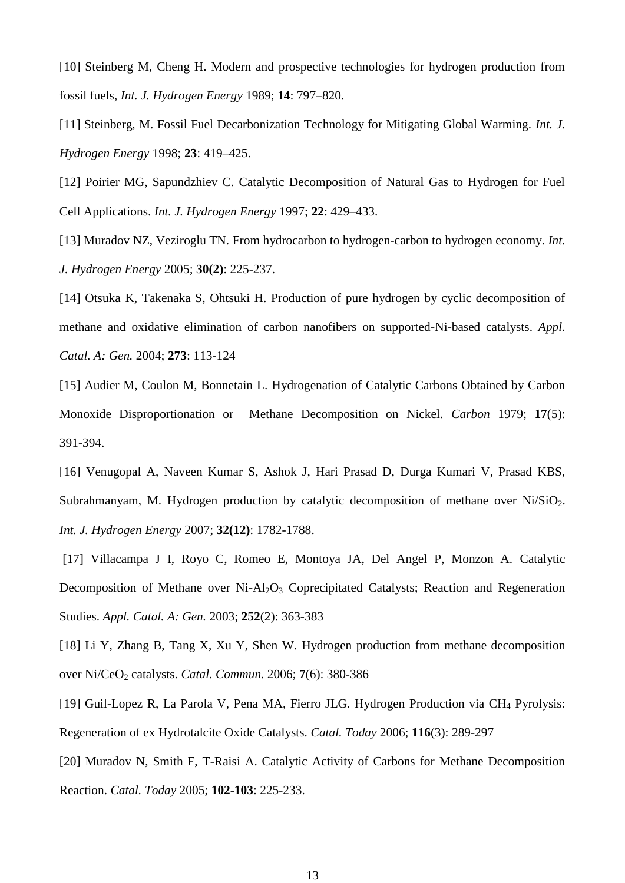[10] Steinberg M, Cheng H. Modern and prospective technologies for hydrogen production from fossil fuels, *Int. J. Hydrogen Energy* 1989; **14**: 797–820.

[11] Steinberg, M. Fossil Fuel Decarbonization Technology for Mitigating Global Warming. *Int. J. Hydrogen Energy* 1998; **23**: 419–425.

[12] Poirier MG, Sapundzhiev C. Catalytic Decomposition of Natural Gas to Hydrogen for Fuel Cell Applications. *Int. J. Hydrogen Energy* 1997; **22**: 429–433.

[13] Muradov NZ, Veziroglu TN. From hydrocarbon to hydrogen-carbon to hydrogen economy. *Int. J. Hydrogen Energy* 2005; **30(2)**: 225-237.

[14] Otsuka K, Takenaka S, Ohtsuki H. Production of pure hydrogen by cyclic decomposition of methane and oxidative elimination of carbon nanofibers on supported-Ni-based catalysts. *Appl. Catal. A: Gen.* 2004; **273**: 113-124

[15] Audier M, Coulon M, Bonnetain L. Hydrogenation of Catalytic Carbons Obtained by Carbon Monoxide Disproportionation or Methane Decomposition on Nickel. *Carbon* 1979; **17**(5): 391-394.

[16] Venugopal A, Naveen Kumar S, Ashok J, Hari Prasad D, Durga Kumari V, Prasad KBS, Subrahmanyam, M. Hydrogen production by catalytic decomposition of methane over  $Ni/SiO<sub>2</sub>$ . *Int. J. Hydrogen Energy* 2007; **32(12)**: 1782-1788.

[17] Villacampa J I, Royo C, Romeo E, Montoya JA, Del Angel P, Monzon A. Catalytic Decomposition of Methane over Ni-Al<sub>2</sub>O<sub>3</sub> Coprecipitated Catalysts; Reaction and Regeneration Studies. *Appl. Catal. A: Gen.* 2003; **252**(2): 363-383

[18] Li Y, Zhang B, Tang X, Xu Y, Shen W. Hydrogen production from methane decomposition over Ni/CeO<sup>2</sup> catalysts. *Catal. Commun.* 2006; **7**(6): 380-386

[19] Guil-Lopez R, La Parola V, Pena MA, Fierro JLG. Hydrogen Production via CH<sub>4</sub> Pyrolysis: Regeneration of ex Hydrotalcite Oxide Catalysts. *Catal. Today* 2006; **116**(3): 289-297

[20] Muradov N, Smith F, T-Raisi A. Catalytic Activity of Carbons for Methane Decomposition Reaction. *Catal. Today* 2005; **102-103**: 225-233.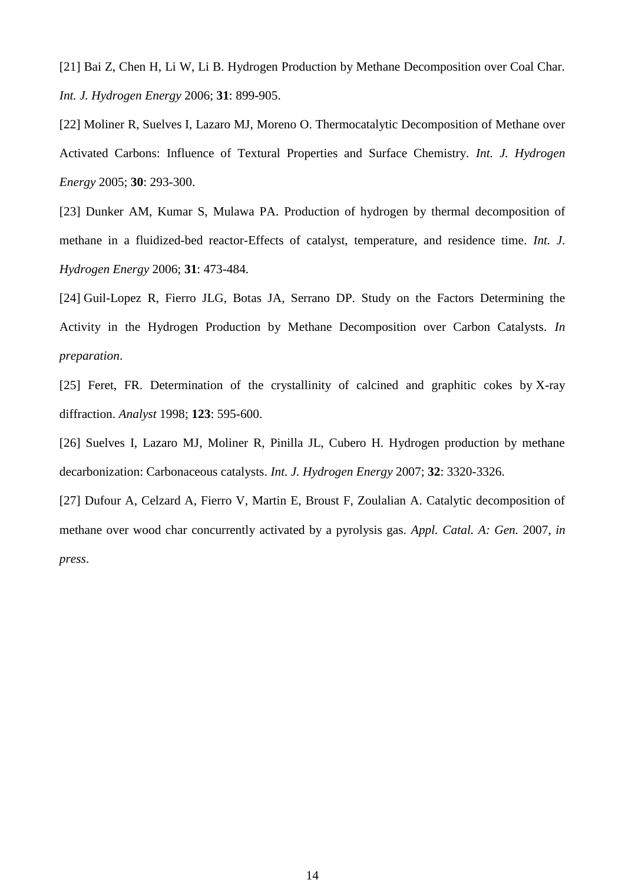[21] Bai Z, Chen H, Li W, Li B. Hydrogen Production by Methane Decomposition over Coal Char. *Int. J. Hydrogen Energy* 2006; **31**: 899-905.

[22] Moliner R, Suelves I, Lazaro MJ, Moreno O. Thermocatalytic Decomposition of Methane over Activated Carbons: Influence of Textural Properties and Surface Chemistry. *Int. J. Hydrogen Energy* 2005; **30**: 293-300.

[23] Dunker AM, Kumar S, Mulawa PA. Production of hydrogen by thermal decomposition of methane in a fluidized-bed reactor-Effects of catalyst, temperature, and residence time. *Int. J. Hydrogen Energy* 2006; **31**: 473-484.

[24] Guil-Lopez R, Fierro JLG, Botas JA, Serrano DP. Study on the Factors Determining the Activity in the Hydrogen Production by Methane Decomposition over Carbon Catalysts. *In preparation*.

[25] Feret, FR. Determination of the crystallinity of calcined and graphitic cokes by X-ray diffraction. *Analyst* 1998; **123**: 595-600.

[26] Suelves I, Lazaro MJ, Moliner R, Pinilla JL, Cubero H. Hydrogen production by methane decarbonization: Carbonaceous catalysts. *Int. J. Hydrogen Energy* 2007; **32**: 3320-3326.

[27] Dufour A, Celzard A, Fierro V, Martin E, Broust F, Zoulalian A. Catalytic decomposition of methane over wood char concurrently activated by a pyrolysis gas. *Appl. Catal. A: Gen.* 2007, *in press*.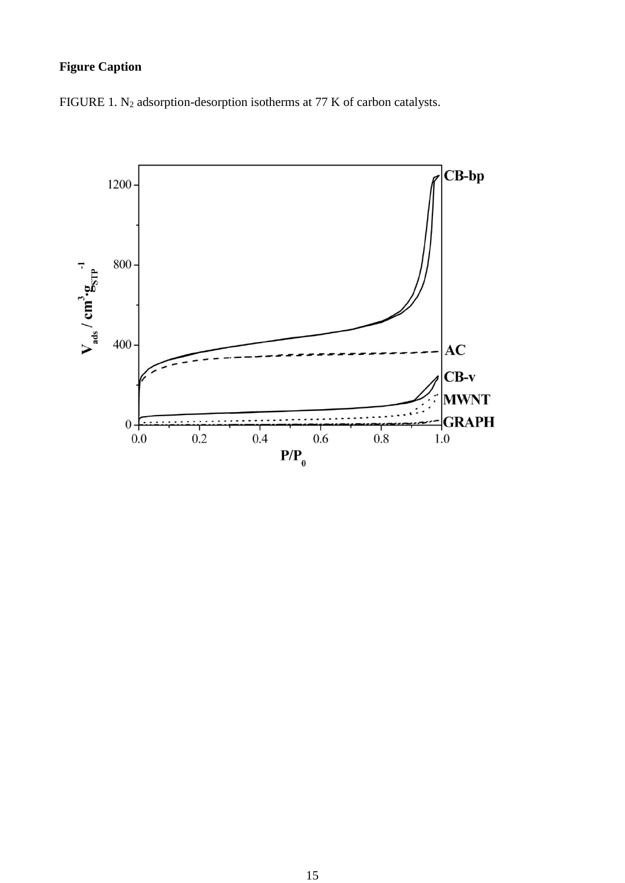# **Figure Caption**



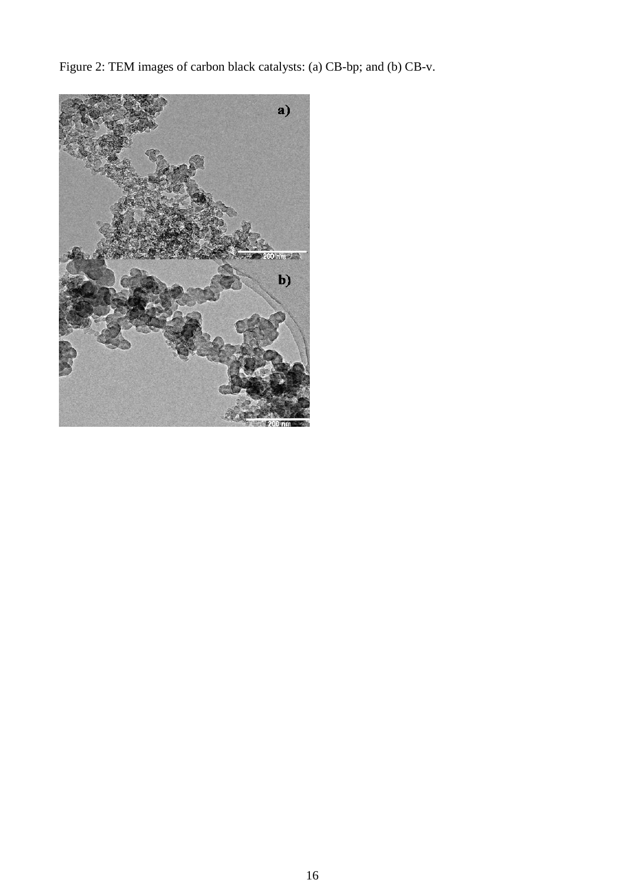Figure 2: TEM images of carbon black catalysts: (a) CB-bp; and (b) CB-v.

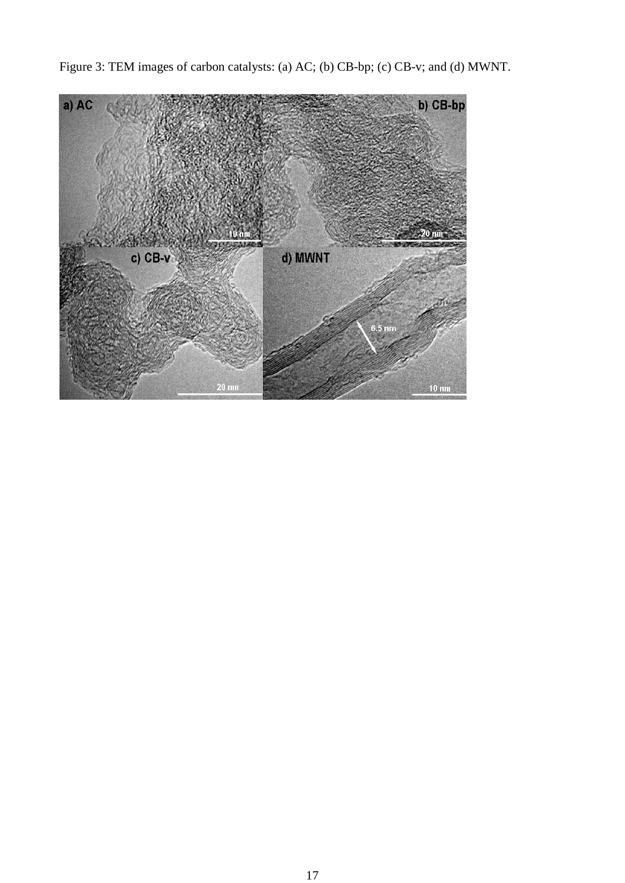Figure 3: TEM images of carbon catalysts: (a) AC; (b) CB-bp; (c) CB-v; and (d) MWNT.

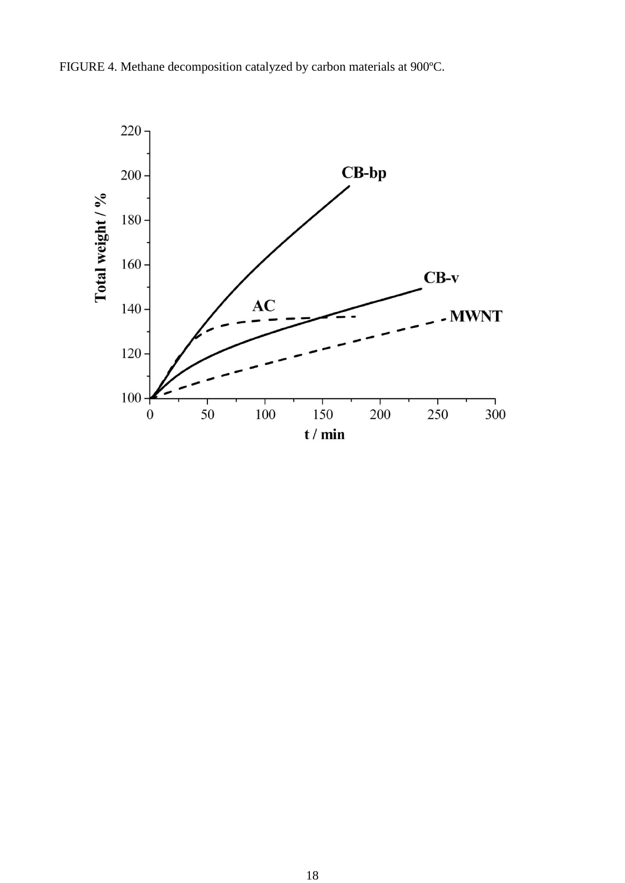